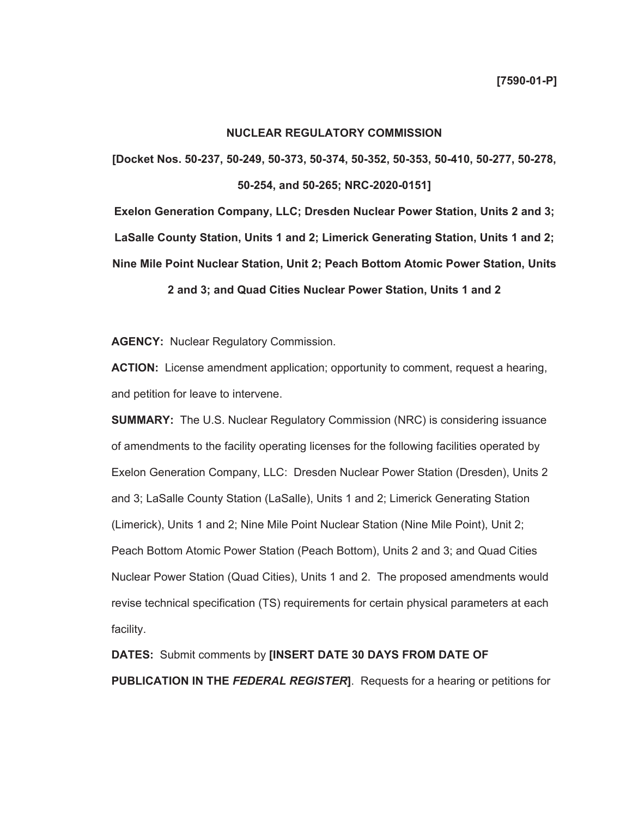## **NUCLEAR REGULATORY COMMISSION**

**[Docket Nos. 50-237, 50-249, 50-373, 50-374, 50-352, 50-353, 50-410, 50-277, 50-278, 50-254, and 50-265; NRC-2020-0151]** 

**Exelon Generation Company, LLC; Dresden Nuclear Power Station, Units 2 and 3; LaSalle County Station, Units 1 and 2; Limerick Generating Station, Units 1 and 2; Nine Mile Point Nuclear Station, Unit 2; Peach Bottom Atomic Power Station, Units 2 and 3; and Quad Cities Nuclear Power Station, Units 1 and 2** 

**AGENCY:** Nuclear Regulatory Commission.

**ACTION:** License amendment application; opportunity to comment, request a hearing, and petition for leave to intervene.

**SUMMARY:** The U.S. Nuclear Regulatory Commission (NRC) is considering issuance of amendments to the facility operating licenses for the following facilities operated by Exelon Generation Company, LLC: Dresden Nuclear Power Station (Dresden), Units 2 and 3; LaSalle County Station (LaSalle), Units 1 and 2; Limerick Generating Station (Limerick), Units 1 and 2; Nine Mile Point Nuclear Station (Nine Mile Point), Unit 2; Peach Bottom Atomic Power Station (Peach Bottom), Units 2 and 3; and Quad Cities Nuclear Power Station (Quad Cities), Units 1 and 2. The proposed amendments would revise technical specification (TS) requirements for certain physical parameters at each facility.

**DATES:** Submit comments by **[INSERT DATE 30 DAYS FROM DATE OF PUBLICATION IN THE** *FEDERAL REGISTER***]**. Requests for a hearing or petitions for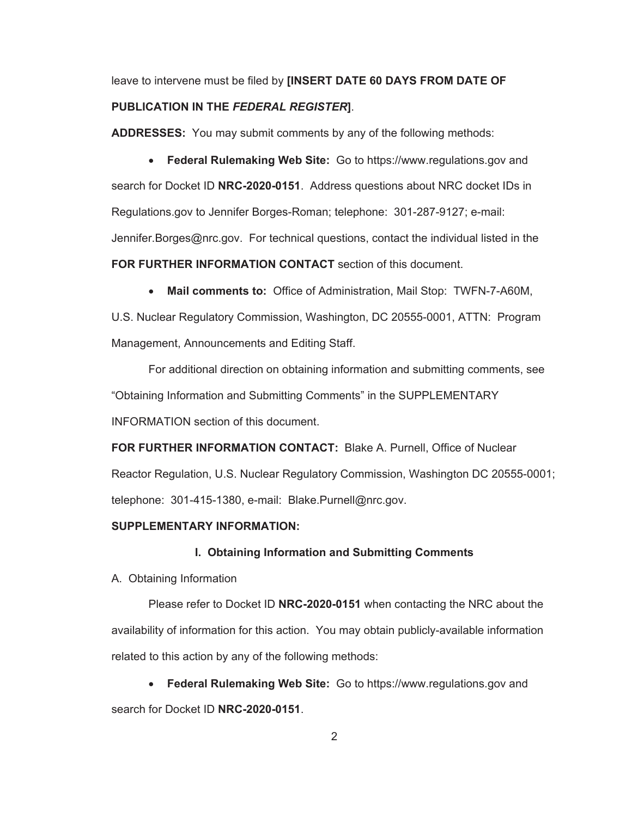leave to intervene must be filed by **[INSERT DATE 60 DAYS FROM DATE OF PUBLICATION IN THE** *FEDERAL REGISTER***]**.

**ADDRESSES:** You may submit comments by any of the following methods:

x **Federal Rulemaking Web Site:** Go to https://www.regulations.gov and search for Docket ID **NRC-2020-0151**. Address questions about NRC docket IDs in Regulations.gov to Jennifer Borges-Roman; telephone: 301-287-9127; e-mail: Jennifer.Borges@nrc.gov. For technical questions, contact the individual listed in the **FOR FURTHER INFORMATION CONTACT** section of this document.

x **Mail comments to:** Office of Administration, Mail Stop: TWFN-7-A60M,

U.S. Nuclear Regulatory Commission, Washington, DC 20555-0001, ATTN: Program Management, Announcements and Editing Staff.

For additional direction on obtaining information and submitting comments, see "Obtaining Information and Submitting Comments" in the SUPPLEMENTARY INFORMATION section of this document.

**FOR FURTHER INFORMATION CONTACT:** Blake A. Purnell, Office of Nuclear Reactor Regulation, U.S. Nuclear Regulatory Commission, Washington DC 20555-0001; telephone: 301-415-1380, e-mail: Blake.Purnell@nrc.gov.

## **SUPPLEMENTARY INFORMATION:**

## **I. Obtaining Information and Submitting Comments**

A. Obtaining Information

Please refer to Docket ID **NRC-2020-0151** when contacting the NRC about the availability of information for this action. You may obtain publicly-available information related to this action by any of the following methods:

x **Federal Rulemaking Web Site:** Go to https://www.regulations.gov and search for Docket ID **NRC-2020-0151**.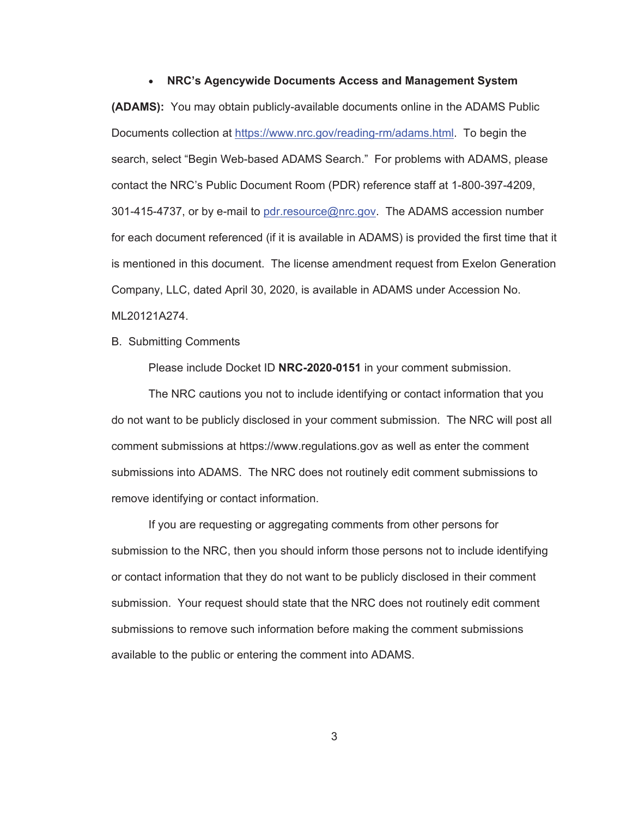#### x **NRC's Agencywide Documents Access and Management System**

**(ADAMS):** You may obtain publicly-available documents online in the ADAMS Public Documents collection at https://www.nrc.gov/reading-rm/adams.html. To begin the search, select "Begin Web-based ADAMS Search." For problems with ADAMS, please contact the NRC's Public Document Room (PDR) reference staff at 1-800-397-4209, 301-415-4737, or by e-mail to pdr.resource@nrc.gov. The ADAMS accession number for each document referenced (if it is available in ADAMS) is provided the first time that it is mentioned in this document. The license amendment request from Exelon Generation Company, LLC, dated April 30, 2020, is available in ADAMS under Accession No. ML20121A274.

B. Submitting Comments

Please include Docket ID **NRC-2020-0151** in your comment submission.

The NRC cautions you not to include identifying or contact information that you do not want to be publicly disclosed in your comment submission. The NRC will post all comment submissions at https://www.regulations.gov as well as enter the comment submissions into ADAMS. The NRC does not routinely edit comment submissions to remove identifying or contact information.

If you are requesting or aggregating comments from other persons for submission to the NRC, then you should inform those persons not to include identifying or contact information that they do not want to be publicly disclosed in their comment submission. Your request should state that the NRC does not routinely edit comment submissions to remove such information before making the comment submissions available to the public or entering the comment into ADAMS.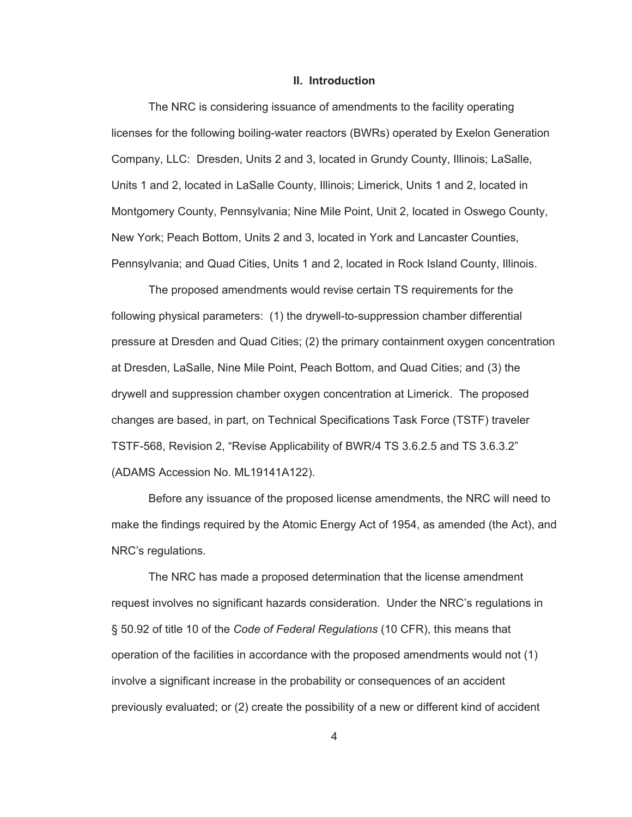#### **II. Introduction**

The NRC is considering issuance of amendments to the facility operating licenses for the following boiling-water reactors (BWRs) operated by Exelon Generation Company, LLC: Dresden, Units 2 and 3, located in Grundy County, Illinois; LaSalle, Units 1 and 2, located in LaSalle County, Illinois; Limerick, Units 1 and 2, located in Montgomery County, Pennsylvania; Nine Mile Point, Unit 2, located in Oswego County, New York; Peach Bottom, Units 2 and 3, located in York and Lancaster Counties, Pennsylvania; and Quad Cities, Units 1 and 2, located in Rock Island County, Illinois.

The proposed amendments would revise certain TS requirements for the following physical parameters: (1) the drywell-to-suppression chamber differential pressure at Dresden and Quad Cities; (2) the primary containment oxygen concentration at Dresden, LaSalle, Nine Mile Point, Peach Bottom, and Quad Cities; and (3) the drywell and suppression chamber oxygen concentration at Limerick. The proposed changes are based, in part, on Technical Specifications Task Force (TSTF) traveler TSTF-568, Revision 2, "Revise Applicability of BWR/4 TS 3.6.2.5 and TS 3.6.3.2" (ADAMS Accession No. ML19141A122).

Before any issuance of the proposed license amendments, the NRC will need to make the findings required by the Atomic Energy Act of 1954, as amended (the Act), and NRC's regulations.

The NRC has made a proposed determination that the license amendment request involves no significant hazards consideration. Under the NRC's regulations in § 50.92 of title 10 of the *Code of Federal Regulations* (10 CFR), this means that operation of the facilities in accordance with the proposed amendments would not (1) involve a significant increase in the probability or consequences of an accident previously evaluated; or (2) create the possibility of a new or different kind of accident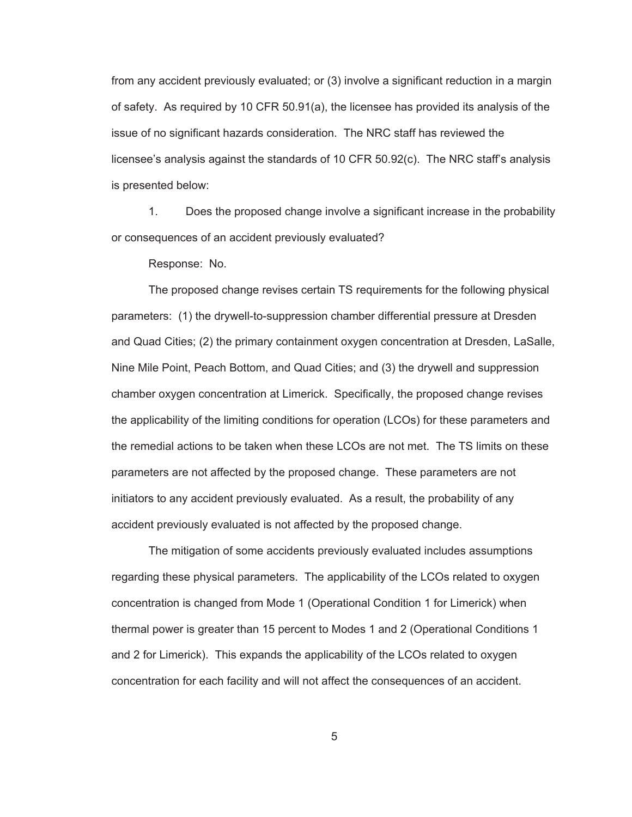from any accident previously evaluated; or (3) involve a significant reduction in a margin of safety. As required by 10 CFR 50.91(a), the licensee has provided its analysis of the issue of no significant hazards consideration. The NRC staff has reviewed the licensee's analysis against the standards of 10 CFR 50.92(c). The NRC staff's analysis is presented below:

1. Does the proposed change involve a significant increase in the probability or consequences of an accident previously evaluated?

Response: No.

The proposed change revises certain TS requirements for the following physical parameters: (1) the drywell-to-suppression chamber differential pressure at Dresden and Quad Cities; (2) the primary containment oxygen concentration at Dresden, LaSalle, Nine Mile Point, Peach Bottom, and Quad Cities; and (3) the drywell and suppression chamber oxygen concentration at Limerick. Specifically, the proposed change revises the applicability of the limiting conditions for operation (LCOs) for these parameters and the remedial actions to be taken when these LCOs are not met. The TS limits on these parameters are not affected by the proposed change. These parameters are not initiators to any accident previously evaluated. As a result, the probability of any accident previously evaluated is not affected by the proposed change.

The mitigation of some accidents previously evaluated includes assumptions regarding these physical parameters. The applicability of the LCOs related to oxygen concentration is changed from Mode 1 (Operational Condition 1 for Limerick) when thermal power is greater than 15 percent to Modes 1 and 2 (Operational Conditions 1 and 2 for Limerick). This expands the applicability of the LCOs related to oxygen concentration for each facility and will not affect the consequences of an accident.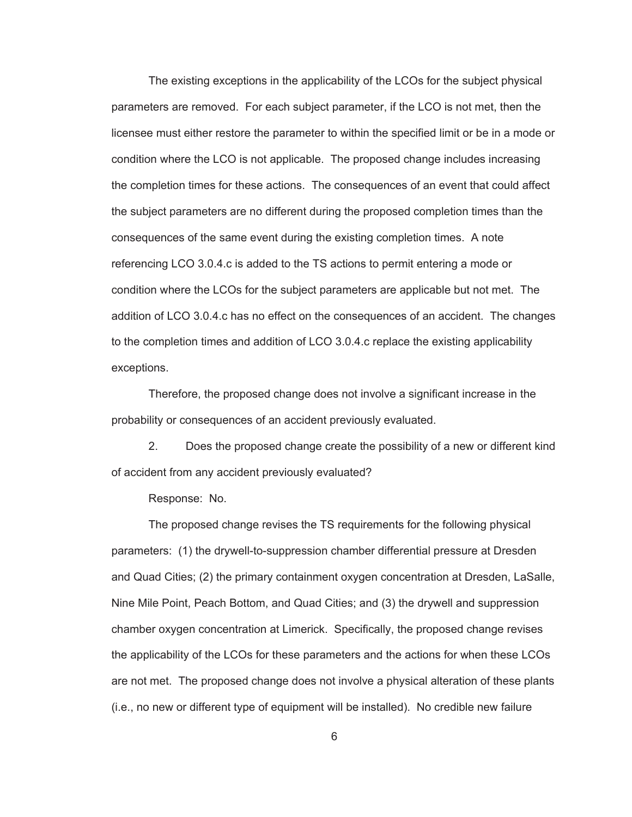The existing exceptions in the applicability of the LCOs for the subject physical parameters are removed. For each subject parameter, if the LCO is not met, then the licensee must either restore the parameter to within the specified limit or be in a mode or condition where the LCO is not applicable. The proposed change includes increasing the completion times for these actions. The consequences of an event that could affect the subject parameters are no different during the proposed completion times than the consequences of the same event during the existing completion times. A note referencing LCO 3.0.4.c is added to the TS actions to permit entering a mode or condition where the LCOs for the subject parameters are applicable but not met. The addition of LCO 3.0.4.c has no effect on the consequences of an accident. The changes to the completion times and addition of LCO 3.0.4.c replace the existing applicability exceptions.

Therefore, the proposed change does not involve a significant increase in the probability or consequences of an accident previously evaluated.

2. Does the proposed change create the possibility of a new or different kind of accident from any accident previously evaluated?

Response: No.

The proposed change revises the TS requirements for the following physical parameters: (1) the drywell-to-suppression chamber differential pressure at Dresden and Quad Cities; (2) the primary containment oxygen concentration at Dresden, LaSalle, Nine Mile Point, Peach Bottom, and Quad Cities; and (3) the drywell and suppression chamber oxygen concentration at Limerick. Specifically, the proposed change revises the applicability of the LCOs for these parameters and the actions for when these LCOs are not met. The proposed change does not involve a physical alteration of these plants (i.e., no new or different type of equipment will be installed). No credible new failure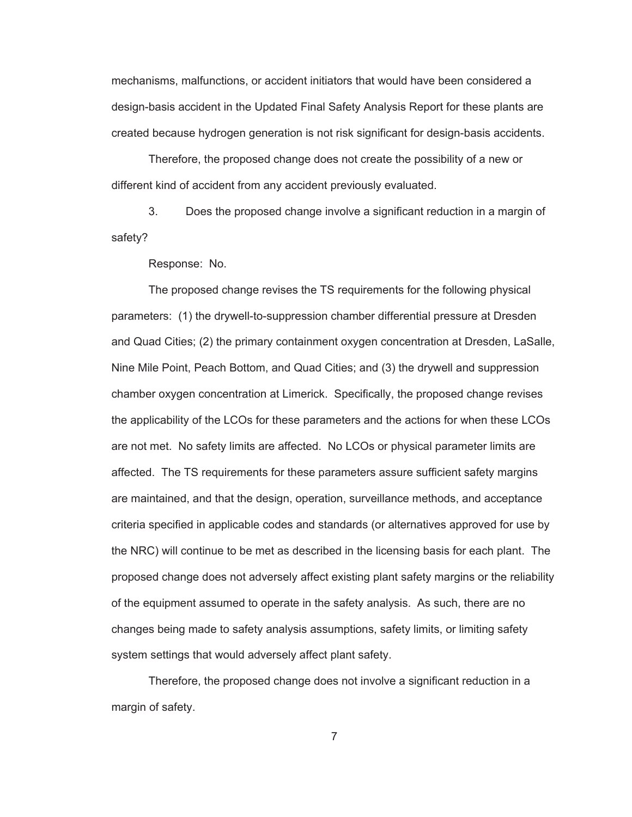mechanisms, malfunctions, or accident initiators that would have been considered a design-basis accident in the Updated Final Safety Analysis Report for these plants are created because hydrogen generation is not risk significant for design-basis accidents.

Therefore, the proposed change does not create the possibility of a new or different kind of accident from any accident previously evaluated.

3. Does the proposed change involve a significant reduction in a margin of safety?

Response: No.

The proposed change revises the TS requirements for the following physical parameters: (1) the drywell-to-suppression chamber differential pressure at Dresden and Quad Cities; (2) the primary containment oxygen concentration at Dresden, LaSalle, Nine Mile Point, Peach Bottom, and Quad Cities; and (3) the drywell and suppression chamber oxygen concentration at Limerick. Specifically, the proposed change revises the applicability of the LCOs for these parameters and the actions for when these LCOs are not met. No safety limits are affected. No LCOs or physical parameter limits are affected. The TS requirements for these parameters assure sufficient safety margins are maintained, and that the design, operation, surveillance methods, and acceptance criteria specified in applicable codes and standards (or alternatives approved for use by the NRC) will continue to be met as described in the licensing basis for each plant. The proposed change does not adversely affect existing plant safety margins or the reliability of the equipment assumed to operate in the safety analysis. As such, there are no changes being made to safety analysis assumptions, safety limits, or limiting safety system settings that would adversely affect plant safety.

Therefore, the proposed change does not involve a significant reduction in a margin of safety.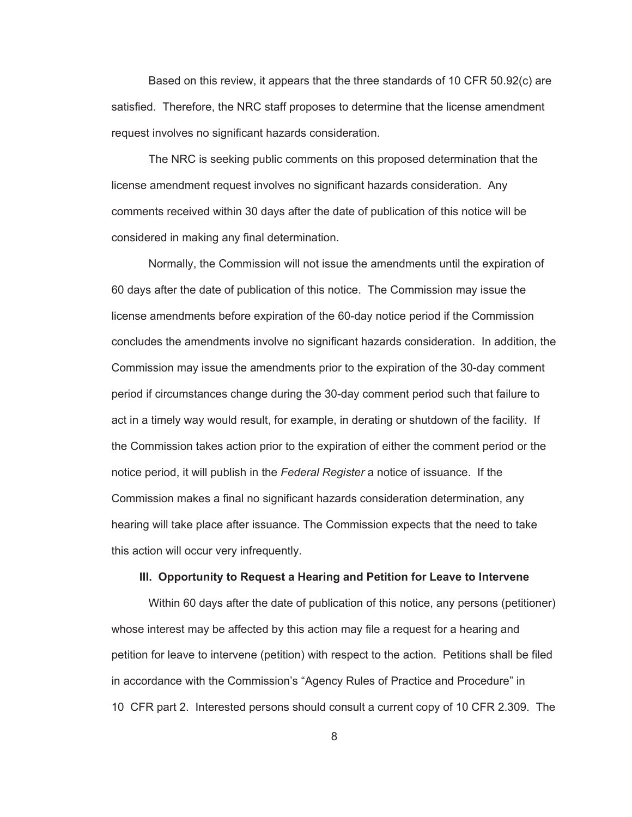Based on this review, it appears that the three standards of 10 CFR 50.92(c) are satisfied. Therefore, the NRC staff proposes to determine that the license amendment request involves no significant hazards consideration.

The NRC is seeking public comments on this proposed determination that the license amendment request involves no significant hazards consideration. Any comments received within 30 days after the date of publication of this notice will be considered in making any final determination.

Normally, the Commission will not issue the amendments until the expiration of 60 days after the date of publication of this notice. The Commission may issue the license amendments before expiration of the 60-day notice period if the Commission concludes the amendments involve no significant hazards consideration. In addition, the Commission may issue the amendments prior to the expiration of the 30-day comment period if circumstances change during the 30-day comment period such that failure to act in a timely way would result, for example, in derating or shutdown of the facility. If the Commission takes action prior to the expiration of either the comment period or the notice period, it will publish in the *Federal Register* a notice of issuance. If the Commission makes a final no significant hazards consideration determination, any hearing will take place after issuance. The Commission expects that the need to take this action will occur very infrequently.

## **III. Opportunity to Request a Hearing and Petition for Leave to Intervene**

Within 60 days after the date of publication of this notice, any persons (petitioner) whose interest may be affected by this action may file a request for a hearing and petition for leave to intervene (petition) with respect to the action. Petitions shall be filed in accordance with the Commission's "Agency Rules of Practice and Procedure" in 10 CFR part 2. Interested persons should consult a current copy of 10 CFR 2.309. The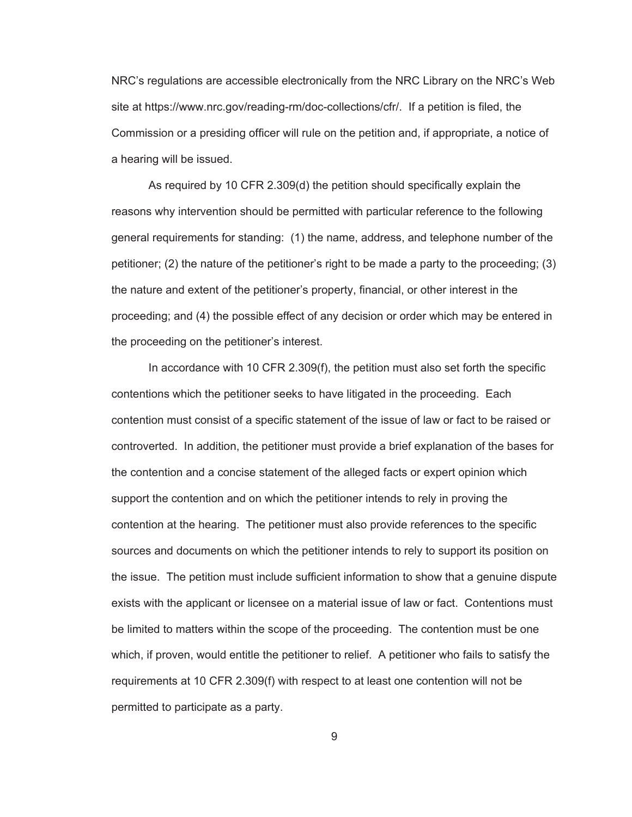NRC's regulations are accessible electronically from the NRC Library on the NRC's Web site at https://www.nrc.gov/reading-rm/doc-collections/cfr/. If a petition is filed, the Commission or a presiding officer will rule on the petition and, if appropriate, a notice of a hearing will be issued.

As required by 10 CFR 2.309(d) the petition should specifically explain the reasons why intervention should be permitted with particular reference to the following general requirements for standing: (1) the name, address, and telephone number of the petitioner; (2) the nature of the petitioner's right to be made a party to the proceeding; (3) the nature and extent of the petitioner's property, financial, or other interest in the proceeding; and (4) the possible effect of any decision or order which may be entered in the proceeding on the petitioner's interest.

In accordance with 10 CFR 2.309(f), the petition must also set forth the specific contentions which the petitioner seeks to have litigated in the proceeding. Each contention must consist of a specific statement of the issue of law or fact to be raised or controverted. In addition, the petitioner must provide a brief explanation of the bases for the contention and a concise statement of the alleged facts or expert opinion which support the contention and on which the petitioner intends to rely in proving the contention at the hearing. The petitioner must also provide references to the specific sources and documents on which the petitioner intends to rely to support its position on the issue. The petition must include sufficient information to show that a genuine dispute exists with the applicant or licensee on a material issue of law or fact. Contentions must be limited to matters within the scope of the proceeding. The contention must be one which, if proven, would entitle the petitioner to relief. A petitioner who fails to satisfy the requirements at 10 CFR 2.309(f) with respect to at least one contention will not be permitted to participate as a party.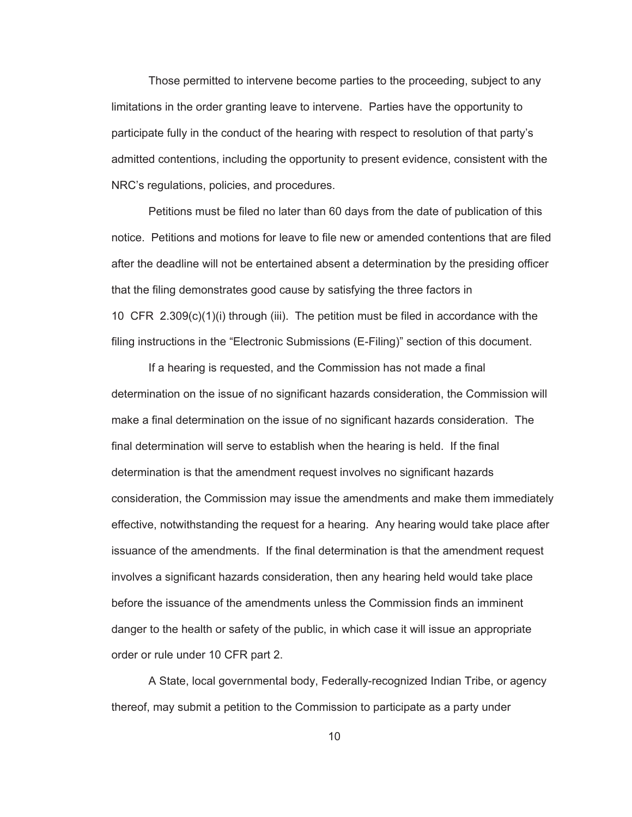Those permitted to intervene become parties to the proceeding, subject to any limitations in the order granting leave to intervene. Parties have the opportunity to participate fully in the conduct of the hearing with respect to resolution of that party's admitted contentions, including the opportunity to present evidence, consistent with the NRC's regulations, policies, and procedures.

Petitions must be filed no later than 60 days from the date of publication of this notice. Petitions and motions for leave to file new or amended contentions that are filed after the deadline will not be entertained absent a determination by the presiding officer that the filing demonstrates good cause by satisfying the three factors in 10 CFR 2.309(c)(1)(i) through (iii). The petition must be filed in accordance with the filing instructions in the "Electronic Submissions (E-Filing)" section of this document.

If a hearing is requested, and the Commission has not made a final determination on the issue of no significant hazards consideration, the Commission will make a final determination on the issue of no significant hazards consideration. The final determination will serve to establish when the hearing is held. If the final determination is that the amendment request involves no significant hazards consideration, the Commission may issue the amendments and make them immediately effective, notwithstanding the request for a hearing. Any hearing would take place after issuance of the amendments. If the final determination is that the amendment request involves a significant hazards consideration, then any hearing held would take place before the issuance of the amendments unless the Commission finds an imminent danger to the health or safety of the public, in which case it will issue an appropriate order or rule under 10 CFR part 2.

A State, local governmental body, Federally-recognized Indian Tribe, or agency thereof, may submit a petition to the Commission to participate as a party under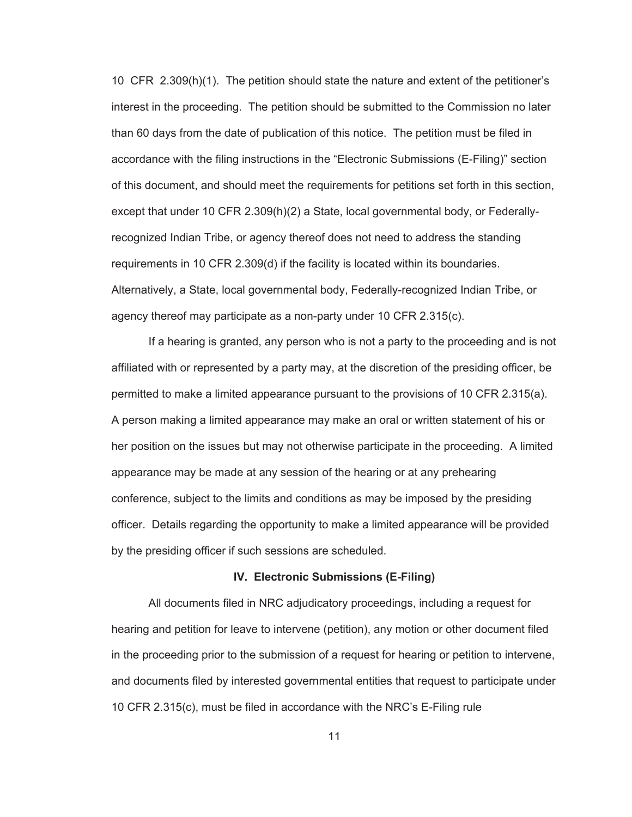10 CFR 2.309(h)(1). The petition should state the nature and extent of the petitioner's interest in the proceeding. The petition should be submitted to the Commission no later than 60 days from the date of publication of this notice. The petition must be filed in accordance with the filing instructions in the "Electronic Submissions (E-Filing)" section of this document, and should meet the requirements for petitions set forth in this section, except that under 10 CFR 2.309(h)(2) a State, local governmental body, or Federallyrecognized Indian Tribe, or agency thereof does not need to address the standing requirements in 10 CFR 2.309(d) if the facility is located within its boundaries. Alternatively, a State, local governmental body, Federally-recognized Indian Tribe, or agency thereof may participate as a non-party under 10 CFR 2.315(c).

If a hearing is granted, any person who is not a party to the proceeding and is not affiliated with or represented by a party may, at the discretion of the presiding officer, be permitted to make a limited appearance pursuant to the provisions of 10 CFR 2.315(a). A person making a limited appearance may make an oral or written statement of his or her position on the issues but may not otherwise participate in the proceeding. A limited appearance may be made at any session of the hearing or at any prehearing conference, subject to the limits and conditions as may be imposed by the presiding officer. Details regarding the opportunity to make a limited appearance will be provided by the presiding officer if such sessions are scheduled.

#### **IV. Electronic Submissions (E-Filing)**

All documents filed in NRC adjudicatory proceedings, including a request for hearing and petition for leave to intervene (petition), any motion or other document filed in the proceeding prior to the submission of a request for hearing or petition to intervene, and documents filed by interested governmental entities that request to participate under 10 CFR 2.315(c), must be filed in accordance with the NRC's E-Filing rule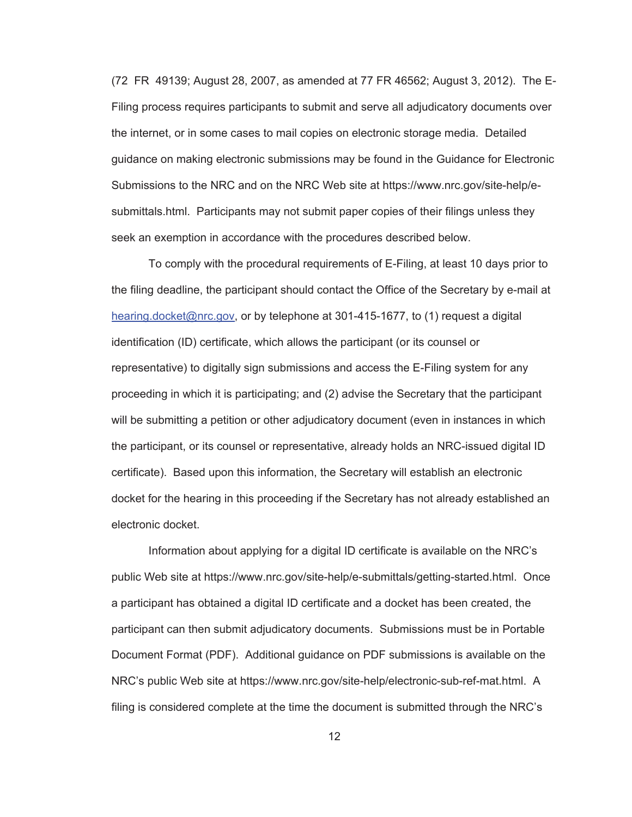(72 FR 49139; August 28, 2007, as amended at 77 FR 46562; August 3, 2012). The E-Filing process requires participants to submit and serve all adjudicatory documents over the internet, or in some cases to mail copies on electronic storage media. Detailed guidance on making electronic submissions may be found in the Guidance for Electronic Submissions to the NRC and on the NRC Web site at https://www.nrc.gov/site-help/esubmittals.html. Participants may not submit paper copies of their filings unless they seek an exemption in accordance with the procedures described below.

To comply with the procedural requirements of E-Filing, at least 10 days prior to the filing deadline, the participant should contact the Office of the Secretary by e-mail at hearing.docket@nrc.gov, or by telephone at 301-415-1677, to (1) request a digital identification (ID) certificate, which allows the participant (or its counsel or representative) to digitally sign submissions and access the E-Filing system for any proceeding in which it is participating; and (2) advise the Secretary that the participant will be submitting a petition or other adjudicatory document (even in instances in which the participant, or its counsel or representative, already holds an NRC-issued digital ID certificate). Based upon this information, the Secretary will establish an electronic docket for the hearing in this proceeding if the Secretary has not already established an electronic docket.

Information about applying for a digital ID certificate is available on the NRC's public Web site at https://www.nrc.gov/site-help/e-submittals/getting-started.html. Once a participant has obtained a digital ID certificate and a docket has been created, the participant can then submit adjudicatory documents. Submissions must be in Portable Document Format (PDF). Additional guidance on PDF submissions is available on the NRC's public Web site at https://www.nrc.gov/site-help/electronic-sub-ref-mat.html. A filing is considered complete at the time the document is submitted through the NRC's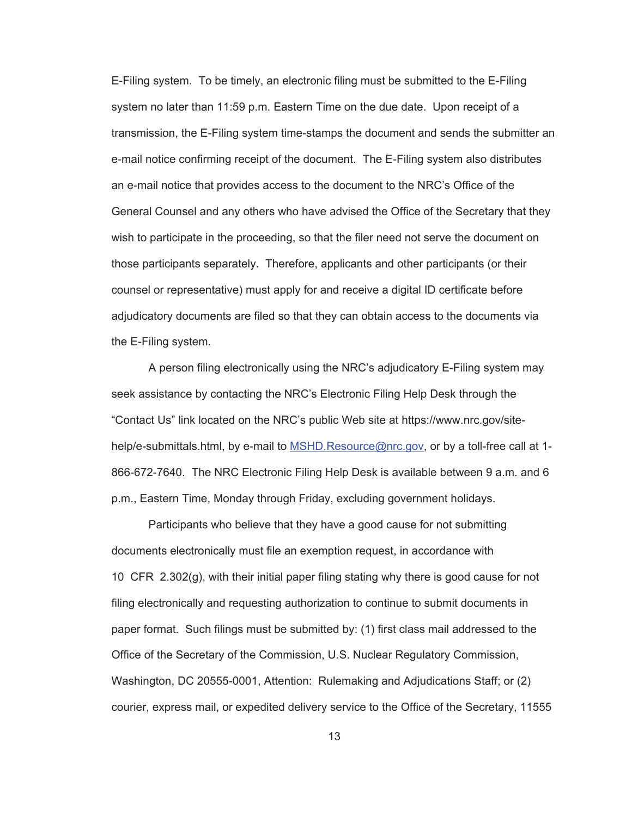E-Filing system. To be timely, an electronic filing must be submitted to the E-Filing system no later than 11:59 p.m. Eastern Time on the due date. Upon receipt of a transmission, the E-Filing system time-stamps the document and sends the submitter an e-mail notice confirming receipt of the document. The E-Filing system also distributes an e-mail notice that provides access to the document to the NRC's Office of the General Counsel and any others who have advised the Office of the Secretary that they wish to participate in the proceeding, so that the filer need not serve the document on those participants separately. Therefore, applicants and other participants (or their counsel or representative) must apply for and receive a digital ID certificate before adjudicatory documents are filed so that they can obtain access to the documents via the E-Filing system.

A person filing electronically using the NRC's adjudicatory E-Filing system may seek assistance by contacting the NRC's Electronic Filing Help Desk through the "Contact Us" link located on the NRC's public Web site at https://www.nrc.gov/sitehelp/e-submittals.html, by e-mail to MSHD.Resource@nrc.gov, or by a toll-free call at 1-866-672-7640. The NRC Electronic Filing Help Desk is available between 9 a.m. and 6 p.m., Eastern Time, Monday through Friday, excluding government holidays.

Participants who believe that they have a good cause for not submitting documents electronically must file an exemption request, in accordance with 10 CFR 2.302(g), with their initial paper filing stating why there is good cause for not filing electronically and requesting authorization to continue to submit documents in paper format. Such filings must be submitted by: (1) first class mail addressed to the Office of the Secretary of the Commission, U.S. Nuclear Regulatory Commission, Washington, DC 20555-0001, Attention: Rulemaking and Adjudications Staff; or (2) courier, express mail, or expedited delivery service to the Office of the Secretary, 11555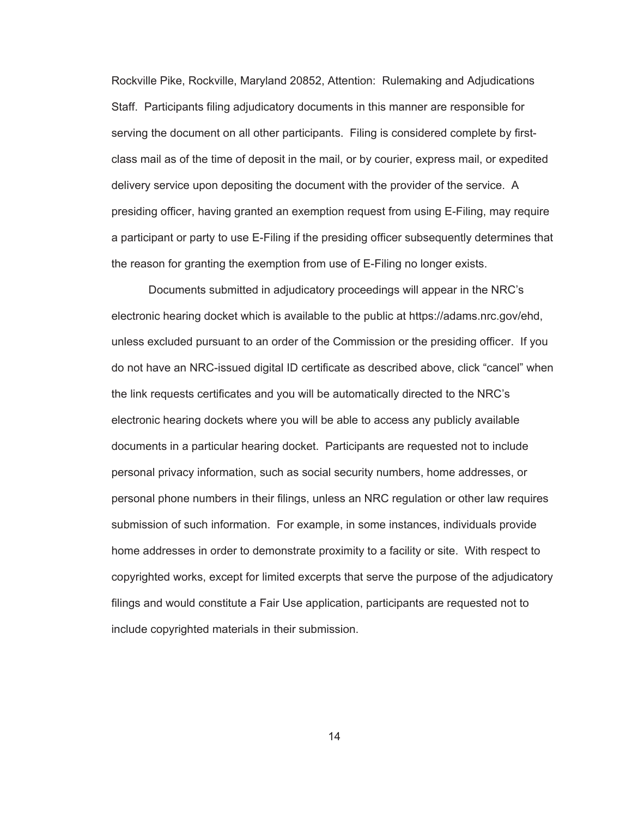Rockville Pike, Rockville, Maryland 20852, Attention: Rulemaking and Adjudications Staff. Participants filing adjudicatory documents in this manner are responsible for serving the document on all other participants. Filing is considered complete by firstclass mail as of the time of deposit in the mail, or by courier, express mail, or expedited delivery service upon depositing the document with the provider of the service. A presiding officer, having granted an exemption request from using E-Filing, may require a participant or party to use E-Filing if the presiding officer subsequently determines that the reason for granting the exemption from use of E-Filing no longer exists.

Documents submitted in adjudicatory proceedings will appear in the NRC's electronic hearing docket which is available to the public at https://adams.nrc.gov/ehd, unless excluded pursuant to an order of the Commission or the presiding officer. If you do not have an NRC-issued digital ID certificate as described above, click "cancel" when the link requests certificates and you will be automatically directed to the NRC's electronic hearing dockets where you will be able to access any publicly available documents in a particular hearing docket. Participants are requested not to include personal privacy information, such as social security numbers, home addresses, or personal phone numbers in their filings, unless an NRC regulation or other law requires submission of such information. For example, in some instances, individuals provide home addresses in order to demonstrate proximity to a facility or site. With respect to copyrighted works, except for limited excerpts that serve the purpose of the adjudicatory filings and would constitute a Fair Use application, participants are requested not to include copyrighted materials in their submission.